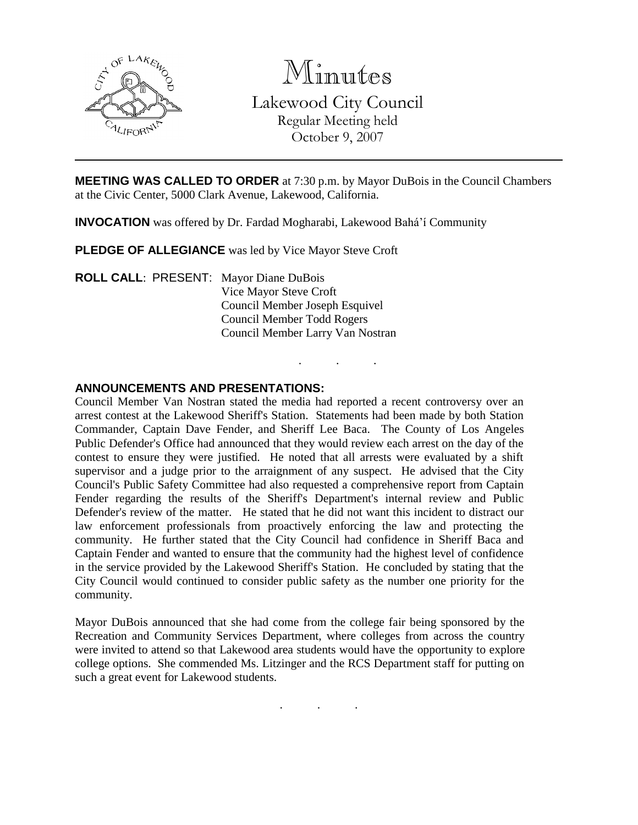

Minutes Lakewood City Council Regular Meeting held October 9, 2007

. . .

**MEETING WAS CALLED TO ORDER** at 7:30 p.m. by Mayor DuBois in the Council Chambers at the Civic Center, 5000 Clark Avenue, Lakewood, California.

**INVOCATION** was offered by Dr. Fardad Mogharabi, Lakewood Bahá'í Community

**PLEDGE OF ALLEGIANCE** was led by Vice Mayor Steve Croft

**ROLL CALL**: PRESENT: Mayor Diane DuBois Vice Mayor Steve Croft Council Member Joseph Esquivel Council Member Todd Rogers Council Member Larry Van Nostran

## **ANNOUNCEMENTS AND PRESENTATIONS:**

Council Member Van Nostran stated the media had reported a recent controversy over an arrest contest at the Lakewood Sheriff's Station. Statements had been made by both Station Commander, Captain Dave Fender, and Sheriff Lee Baca. The County of Los Angeles Public Defender's Office had announced that they would review each arrest on the day of the contest to ensure they were justified. He noted that all arrests were evaluated by a shift supervisor and a judge prior to the arraignment of any suspect. He advised that the City Council's Public Safety Committee had also requested a comprehensive report from Captain Fender regarding the results of the Sheriff's Department's internal review and Public Defender's review of the matter. He stated that he did not want this incident to distract our law enforcement professionals from proactively enforcing the law and protecting the community. He further stated that the City Council had confidence in Sheriff Baca and Captain Fender and wanted to ensure that the community had the highest level of confidence in the service provided by the Lakewood Sheriff's Station. He concluded by stating that the City Council would continued to consider public safety as the number one priority for the community.

Mayor DuBois announced that she had come from the college fair being sponsored by the Recreation and Community Services Department, where colleges from across the country were invited to attend so that Lakewood area students would have the opportunity to explore college options. She commended Ms. Litzinger and the RCS Department staff for putting on such a great event for Lakewood students.

. . .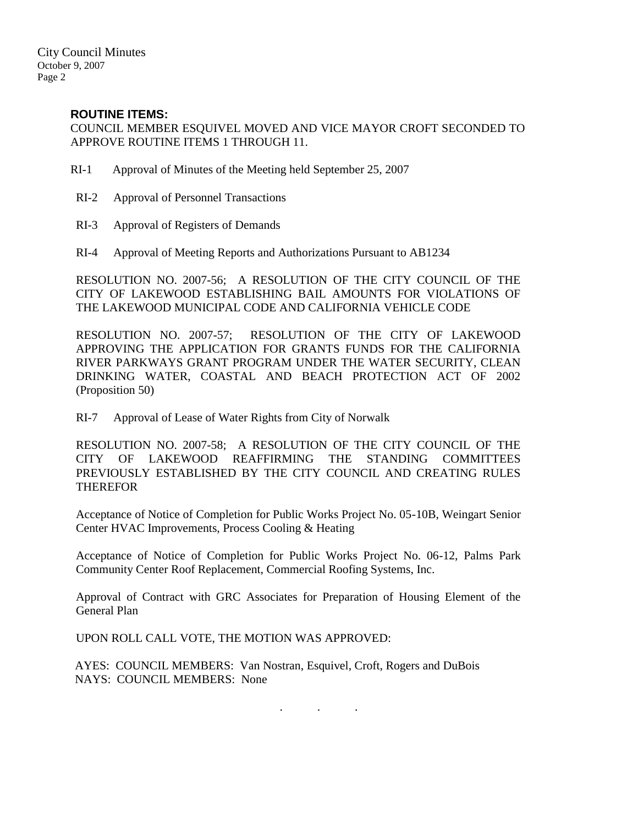# **ROUTINE ITEMS:**

COUNCIL MEMBER ESQUIVEL MOVED AND VICE MAYOR CROFT SECONDED TO APPROVE ROUTINE ITEMS 1 THROUGH 11.

- RI-1 Approval of Minutes of the Meeting held September 25, 2007
- RI-2 Approval of Personnel Transactions
- RI-3 Approval of Registers of Demands
- RI-4 Approval of Meeting Reports and Authorizations Pursuant to AB1234

RESOLUTION NO. 2007-56; A RESOLUTION OF THE CITY COUNCIL OF THE CITY OF LAKEWOOD ESTABLISHING BAIL AMOUNTS FOR VIOLATIONS OF THE LAKEWOOD MUNICIPAL CODE AND CALIFORNIA VEHICLE CODE

RESOLUTION NO. 2007-57; RESOLUTION OF THE CITY OF LAKEWOOD APPROVING THE APPLICATION FOR GRANTS FUNDS FOR THE CALIFORNIA RIVER PARKWAYS GRANT PROGRAM UNDER THE WATER SECURITY, CLEAN DRINKING WATER, COASTAL AND BEACH PROTECTION ACT OF 2002 (Proposition 50)

RI-7 Approval of Lease of Water Rights from City of Norwalk

RESOLUTION NO. 2007-58; A RESOLUTION OF THE CITY COUNCIL OF THE CITY OF LAKEWOOD REAFFIRMING THE STANDING COMMITTEES PREVIOUSLY ESTABLISHED BY THE CITY COUNCIL AND CREATING RULES THEREFOR

Acceptance of Notice of Completion for Public Works Project No. 05-10B, Weingart Senior Center HVAC Improvements, Process Cooling & Heating

Acceptance of Notice of Completion for Public Works Project No. 06-12, Palms Park Community Center Roof Replacement, Commercial Roofing Systems, Inc.

Approval of Contract with GRC Associates for Preparation of Housing Element of the General Plan

UPON ROLL CALL VOTE, THE MOTION WAS APPROVED:

AYES: COUNCIL MEMBERS: Van Nostran, Esquivel, Croft, Rogers and DuBois NAYS: COUNCIL MEMBERS: None

. . .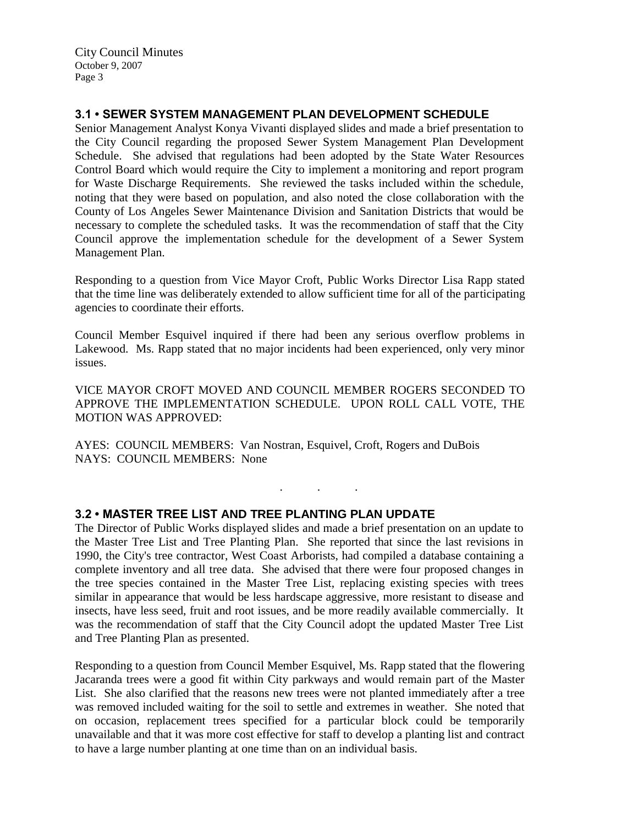City Council Minutes October 9, 2007 Page 3

## **3.1 • SEWER SYSTEM MANAGEMENT PLAN DEVELOPMENT SCHEDULE**

Senior Management Analyst Konya Vivanti displayed slides and made a brief presentation to the City Council regarding the proposed Sewer System Management Plan Development Schedule. She advised that regulations had been adopted by the State Water Resources Control Board which would require the City to implement a monitoring and report program for Waste Discharge Requirements. She reviewed the tasks included within the schedule, noting that they were based on population, and also noted the close collaboration with the County of Los Angeles Sewer Maintenance Division and Sanitation Districts that would be necessary to complete the scheduled tasks. It was the recommendation of staff that the City Council approve the implementation schedule for the development of a Sewer System Management Plan.

Responding to a question from Vice Mayor Croft, Public Works Director Lisa Rapp stated that the time line was deliberately extended to allow sufficient time for all of the participating agencies to coordinate their efforts.

Council Member Esquivel inquired if there had been any serious overflow problems in Lakewood. Ms. Rapp stated that no major incidents had been experienced, only very minor issues.

VICE MAYOR CROFT MOVED AND COUNCIL MEMBER ROGERS SECONDED TO APPROVE THE IMPLEMENTATION SCHEDULE. UPON ROLL CALL VOTE, THE MOTION WAS APPROVED:

. . .

AYES: COUNCIL MEMBERS: Van Nostran, Esquivel, Croft, Rogers and DuBois NAYS: COUNCIL MEMBERS: None

## **3.2 • MASTER TREE LIST AND TREE PLANTING PLAN UPDATE**

The Director of Public Works displayed slides and made a brief presentation on an update to the Master Tree List and Tree Planting Plan. She reported that since the last revisions in 1990, the City's tree contractor, West Coast Arborists, had compiled a database containing a complete inventory and all tree data. She advised that there were four proposed changes in the tree species contained in the Master Tree List, replacing existing species with trees similar in appearance that would be less hardscape aggressive, more resistant to disease and insects, have less seed, fruit and root issues, and be more readily available commercially. It was the recommendation of staff that the City Council adopt the updated Master Tree List and Tree Planting Plan as presented.

Responding to a question from Council Member Esquivel, Ms. Rapp stated that the flowering Jacaranda trees were a good fit within City parkways and would remain part of the Master List. She also clarified that the reasons new trees were not planted immediately after a tree was removed included waiting for the soil to settle and extremes in weather. She noted that on occasion, replacement trees specified for a particular block could be temporarily unavailable and that it was more cost effective for staff to develop a planting list and contract to have a large number planting at one time than on an individual basis.